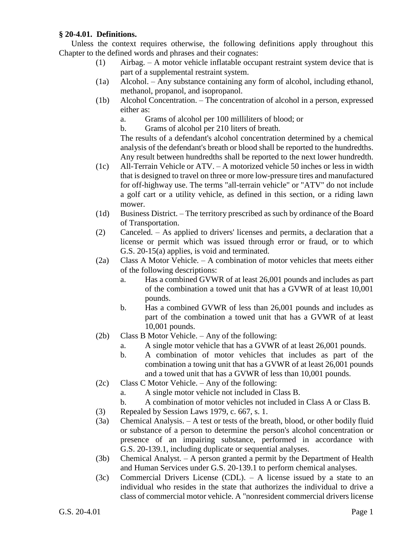## **§ 20-4.01. Definitions.**

Unless the context requires otherwise, the following definitions apply throughout this Chapter to the defined words and phrases and their cognates:

- (1) Airbag. A motor vehicle inflatable occupant restraint system device that is part of a supplemental restraint system.
- (1a) Alcohol. Any substance containing any form of alcohol, including ethanol, methanol, propanol, and isopropanol.
- (1b) Alcohol Concentration. The concentration of alcohol in a person, expressed either as:
	- a. Grams of alcohol per 100 milliliters of blood; or
	- b. Grams of alcohol per 210 liters of breath.

The results of a defendant's alcohol concentration determined by a chemical analysis of the defendant's breath or blood shall be reported to the hundredths. Any result between hundredths shall be reported to the next lower hundredth.

- (1c) All-Terrain Vehicle or ATV. A motorized vehicle 50 inches or less in width that is designed to travel on three or more low-pressure tires and manufactured for off-highway use. The terms "all-terrain vehicle" or "ATV" do not include a golf cart or a utility vehicle, as defined in this section, or a riding lawn mower.
- (1d) Business District. The territory prescribed as such by ordinance of the Board of Transportation.
- (2) Canceled. As applied to drivers' licenses and permits, a declaration that a license or permit which was issued through error or fraud, or to which G.S. 20-15(a) applies, is void and terminated.
- (2a) Class A Motor Vehicle. A combination of motor vehicles that meets either of the following descriptions:
	- a. Has a combined GVWR of at least 26,001 pounds and includes as part of the combination a towed unit that has a GVWR of at least 10,001 pounds.
	- b. Has a combined GVWR of less than 26,001 pounds and includes as part of the combination a towed unit that has a GVWR of at least 10,001 pounds.
- (2b) Class B Motor Vehicle. Any of the following:
	- a. A single motor vehicle that has a GVWR of at least 26,001 pounds.
	- b. A combination of motor vehicles that includes as part of the combination a towing unit that has a GVWR of at least 26,001 pounds and a towed unit that has a GVWR of less than 10,001 pounds.
- (2c) Class C Motor Vehicle. Any of the following:
	- a. A single motor vehicle not included in Class B.
	- b. A combination of motor vehicles not included in Class A or Class B.
- (3) Repealed by Session Laws 1979, c. 667, s. 1.
- (3a) Chemical Analysis. A test or tests of the breath, blood, or other bodily fluid or substance of a person to determine the person's alcohol concentration or presence of an impairing substance, performed in accordance with G.S. 20-139.1, including duplicate or sequential analyses.
- (3b) Chemical Analyst. A person granted a permit by the Department of Health and Human Services under G.S. 20-139.1 to perform chemical analyses.
- (3c) Commercial Drivers License (CDL). A license issued by a state to an individual who resides in the state that authorizes the individual to drive a class of commercial motor vehicle. A "nonresident commercial drivers license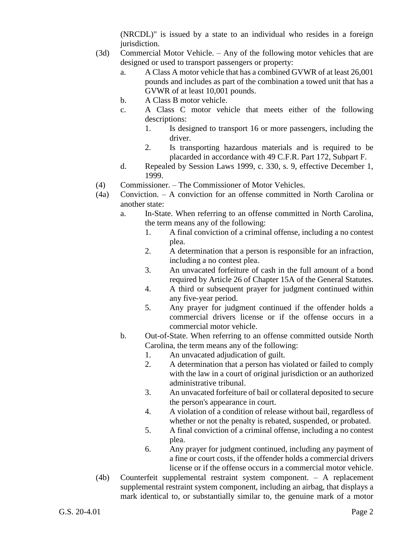(NRCDL)" is issued by a state to an individual who resides in a foreign jurisdiction.

- (3d) Commercial Motor Vehicle. Any of the following motor vehicles that are designed or used to transport passengers or property:
	- a. A Class A motor vehicle that has a combined GVWR of at least 26,001 pounds and includes as part of the combination a towed unit that has a GVWR of at least 10,001 pounds.
	- b. A Class B motor vehicle.
	- c. A Class C motor vehicle that meets either of the following descriptions:
		- 1. Is designed to transport 16 or more passengers, including the driver.
		- 2. Is transporting hazardous materials and is required to be placarded in accordance with 49 C.F.R. Part 172, Subpart F.
	- d. Repealed by Session Laws 1999, c. 330, s. 9, effective December 1, 1999.
- (4) Commissioner. The Commissioner of Motor Vehicles.
- (4a) Conviction. A conviction for an offense committed in North Carolina or another state:
	- a. In-State. When referring to an offense committed in North Carolina, the term means any of the following:
		- 1. A final conviction of a criminal offense, including a no contest plea.
		- 2. A determination that a person is responsible for an infraction, including a no contest plea.
		- 3. An unvacated forfeiture of cash in the full amount of a bond required by Article 26 of Chapter 15A of the General Statutes.
		- 4. A third or subsequent prayer for judgment continued within any five-year period.
		- 5. Any prayer for judgment continued if the offender holds a commercial drivers license or if the offense occurs in a commercial motor vehicle.
	- b. Out-of-State. When referring to an offense committed outside North Carolina, the term means any of the following:
		- 1. An unvacated adjudication of guilt.
		- 2. A determination that a person has violated or failed to comply with the law in a court of original jurisdiction or an authorized administrative tribunal.
		- 3. An unvacated forfeiture of bail or collateral deposited to secure the person's appearance in court.
		- 4. A violation of a condition of release without bail, regardless of whether or not the penalty is rebated, suspended, or probated.
		- 5. A final conviction of a criminal offense, including a no contest plea.
		- 6. Any prayer for judgment continued, including any payment of a fine or court costs, if the offender holds a commercial drivers license or if the offense occurs in a commercial motor vehicle.
- (4b) Counterfeit supplemental restraint system component. A replacement supplemental restraint system component, including an airbag, that displays a mark identical to, or substantially similar to, the genuine mark of a motor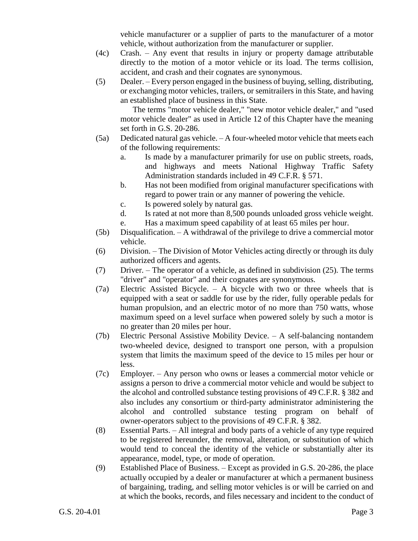vehicle manufacturer or a supplier of parts to the manufacturer of a motor vehicle, without authorization from the manufacturer or supplier.

- (4c) Crash. Any event that results in injury or property damage attributable directly to the motion of a motor vehicle or its load. The terms collision, accident, and crash and their cognates are synonymous.
- (5) Dealer. Every person engaged in the business of buying, selling, distributing, or exchanging motor vehicles, trailers, or semitrailers in this State, and having an established place of business in this State.

The terms "motor vehicle dealer," "new motor vehicle dealer," and "used motor vehicle dealer" as used in Article 12 of this Chapter have the meaning set forth in G.S. 20-286.

- (5a) Dedicated natural gas vehicle. A four-wheeled motor vehicle that meets each of the following requirements:
	- a. Is made by a manufacturer primarily for use on public streets, roads, and highways and meets National Highway Traffic Safety Administration standards included in 49 C.F.R. § 571.
	- b. Has not been modified from original manufacturer specifications with regard to power train or any manner of powering the vehicle.
	- c. Is powered solely by natural gas.
	- d. Is rated at not more than 8,500 pounds unloaded gross vehicle weight.
	- e. Has a maximum speed capability of at least 65 miles per hour.
- (5b) Disqualification. A withdrawal of the privilege to drive a commercial motor vehicle.
- (6) Division. The Division of Motor Vehicles acting directly or through its duly authorized officers and agents.
- (7) Driver. The operator of a vehicle, as defined in subdivision (25). The terms "driver" and "operator" and their cognates are synonymous.
- (7a) Electric Assisted Bicycle. A bicycle with two or three wheels that is equipped with a seat or saddle for use by the rider, fully operable pedals for human propulsion, and an electric motor of no more than 750 watts, whose maximum speed on a level surface when powered solely by such a motor is no greater than 20 miles per hour.
- (7b) Electric Personal Assistive Mobility Device. A self-balancing nontandem two-wheeled device, designed to transport one person, with a propulsion system that limits the maximum speed of the device to 15 miles per hour or less.
- (7c) Employer. Any person who owns or leases a commercial motor vehicle or assigns a person to drive a commercial motor vehicle and would be subject to the alcohol and controlled substance testing provisions of 49 C.F.R. § 382 and also includes any consortium or third-party administrator administering the alcohol and controlled substance testing program on behalf of owner-operators subject to the provisions of 49 C.F.R. § 382.
- (8) Essential Parts. All integral and body parts of a vehicle of any type required to be registered hereunder, the removal, alteration, or substitution of which would tend to conceal the identity of the vehicle or substantially alter its appearance, model, type, or mode of operation.
- (9) Established Place of Business. Except as provided in G.S. 20-286, the place actually occupied by a dealer or manufacturer at which a permanent business of bargaining, trading, and selling motor vehicles is or will be carried on and at which the books, records, and files necessary and incident to the conduct of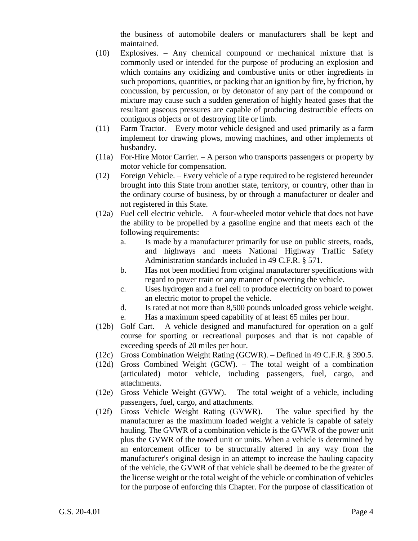the business of automobile dealers or manufacturers shall be kept and maintained.

- (10) Explosives. Any chemical compound or mechanical mixture that is commonly used or intended for the purpose of producing an explosion and which contains any oxidizing and combustive units or other ingredients in such proportions, quantities, or packing that an ignition by fire, by friction, by concussion, by percussion, or by detonator of any part of the compound or mixture may cause such a sudden generation of highly heated gases that the resultant gaseous pressures are capable of producing destructible effects on contiguous objects or of destroying life or limb.
- (11) Farm Tractor. Every motor vehicle designed and used primarily as a farm implement for drawing plows, mowing machines, and other implements of husbandry.
- (11a) For-Hire Motor Carrier. A person who transports passengers or property by motor vehicle for compensation.
- (12) Foreign Vehicle. Every vehicle of a type required to be registered hereunder brought into this State from another state, territory, or country, other than in the ordinary course of business, by or through a manufacturer or dealer and not registered in this State.
- (12a) Fuel cell electric vehicle. A four-wheeled motor vehicle that does not have the ability to be propelled by a gasoline engine and that meets each of the following requirements:
	- a. Is made by a manufacturer primarily for use on public streets, roads, and highways and meets National Highway Traffic Safety Administration standards included in 49 C.F.R. § 571.
	- b. Has not been modified from original manufacturer specifications with regard to power train or any manner of powering the vehicle.
	- c. Uses hydrogen and a fuel cell to produce electricity on board to power an electric motor to propel the vehicle.
	- d. Is rated at not more than 8,500 pounds unloaded gross vehicle weight. e. Has a maximum speed capability of at least 65 miles per hour.
- (12b) Golf Cart. A vehicle designed and manufactured for operation on a golf course for sporting or recreational purposes and that is not capable of exceeding speeds of 20 miles per hour.
- (12c) Gross Combination Weight Rating (GCWR). Defined in 49 C.F.R. § 390.5.
- (12d) Gross Combined Weight (GCW). The total weight of a combination (articulated) motor vehicle, including passengers, fuel, cargo, and attachments.
- (12e) Gross Vehicle Weight (GVW). The total weight of a vehicle, including passengers, fuel, cargo, and attachments.
- (12f) Gross Vehicle Weight Rating (GVWR). The value specified by the manufacturer as the maximum loaded weight a vehicle is capable of safely hauling. The GVWR of a combination vehicle is the GVWR of the power unit plus the GVWR of the towed unit or units. When a vehicle is determined by an enforcement officer to be structurally altered in any way from the manufacturer's original design in an attempt to increase the hauling capacity of the vehicle, the GVWR of that vehicle shall be deemed to be the greater of the license weight or the total weight of the vehicle or combination of vehicles for the purpose of enforcing this Chapter. For the purpose of classification of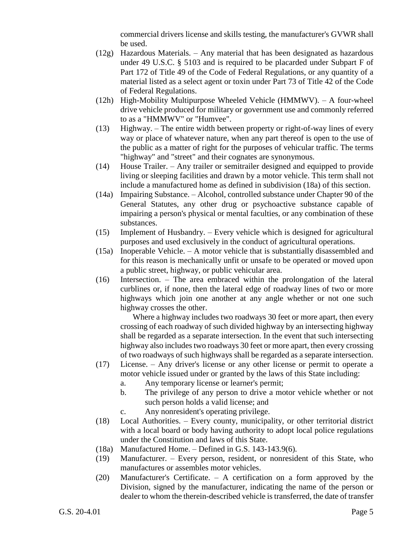commercial drivers license and skills testing, the manufacturer's GVWR shall be used.

- $(12g)$  Hazardous Materials. Any material that has been designated as hazardous under 49 U.S.C. § 5103 and is required to be placarded under Subpart F of Part 172 of Title 49 of the Code of Federal Regulations, or any quantity of a material listed as a select agent or toxin under Part 73 of Title 42 of the Code of Federal Regulations.
- (12h) High-Mobility Multipurpose Wheeled Vehicle (HMMWV). A four-wheel drive vehicle produced for military or government use and commonly referred to as a "HMMWV" or "Humvee".
- (13) Highway. The entire width between property or right-of-way lines of every way or place of whatever nature, when any part thereof is open to the use of the public as a matter of right for the purposes of vehicular traffic. The terms "highway" and "street" and their cognates are synonymous.
- (14) House Trailer. Any trailer or semitrailer designed and equipped to provide living or sleeping facilities and drawn by a motor vehicle. This term shall not include a manufactured home as defined in subdivision (18a) of this section.
- (14a) Impairing Substance. Alcohol, controlled substance under Chapter 90 of the General Statutes, any other drug or psychoactive substance capable of impairing a person's physical or mental faculties, or any combination of these substances.
- (15) Implement of Husbandry. Every vehicle which is designed for agricultural purposes and used exclusively in the conduct of agricultural operations.
- (15a) Inoperable Vehicle. A motor vehicle that is substantially disassembled and for this reason is mechanically unfit or unsafe to be operated or moved upon a public street, highway, or public vehicular area.
- (16) Intersection. The area embraced within the prolongation of the lateral curblines or, if none, then the lateral edge of roadway lines of two or more highways which join one another at any angle whether or not one such highway crosses the other.

Where a highway includes two roadways 30 feet or more apart, then every crossing of each roadway of such divided highway by an intersecting highway shall be regarded as a separate intersection. In the event that such intersecting highway also includes two roadways 30 feet or more apart, then every crossing of two roadways of such highways shall be regarded as a separate intersection.

- (17) License. Any driver's license or any other license or permit to operate a motor vehicle issued under or granted by the laws of this State including:
	- a. Any temporary license or learner's permit;
	- b. The privilege of any person to drive a motor vehicle whether or not such person holds a valid license; and
	- c. Any nonresident's operating privilege.
- (18) Local Authorities. Every county, municipality, or other territorial district with a local board or body having authority to adopt local police regulations under the Constitution and laws of this State.
- (18a) Manufactured Home. Defined in G.S. 143-143.9(6).
- (19) Manufacturer. Every person, resident, or nonresident of this State, who manufactures or assembles motor vehicles.
- (20) Manufacturer's Certificate. A certification on a form approved by the Division, signed by the manufacturer, indicating the name of the person or dealer to whom the therein-described vehicle is transferred, the date of transfer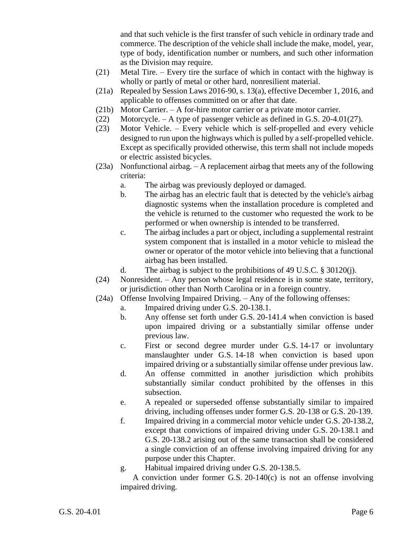and that such vehicle is the first transfer of such vehicle in ordinary trade and commerce. The description of the vehicle shall include the make, model, year, type of body, identification number or numbers, and such other information as the Division may require.

- (21) Metal Tire. Every tire the surface of which in contact with the highway is wholly or partly of metal or other hard, nonresilient material.
- (21a) Repealed by Session Laws 2016-90, s. 13(a), effective December 1, 2016, and applicable to offenses committed on or after that date.
- (21b) Motor Carrier. A for-hire motor carrier or a private motor carrier.
- (22) Motorcycle. A type of passenger vehicle as defined in G.S. 20-4.01(27).
- (23) Motor Vehicle. Every vehicle which is self-propelled and every vehicle designed to run upon the highways which is pulled by a self-propelled vehicle. Except as specifically provided otherwise, this term shall not include mopeds or electric assisted bicycles.
- (23a) Nonfunctional airbag. A replacement airbag that meets any of the following criteria:
	- a. The airbag was previously deployed or damaged.
	- b. The airbag has an electric fault that is detected by the vehicle's airbag diagnostic systems when the installation procedure is completed and the vehicle is returned to the customer who requested the work to be performed or when ownership is intended to be transferred.
	- c. The airbag includes a part or object, including a supplemental restraint system component that is installed in a motor vehicle to mislead the owner or operator of the motor vehicle into believing that a functional airbag has been installed.
	- d. The airbag is subject to the prohibitions of 49 U.S.C. § 30120(j).
- (24) Nonresident. Any person whose legal residence is in some state, territory, or jurisdiction other than North Carolina or in a foreign country.
- (24a) Offense Involving Impaired Driving. Any of the following offenses:
	- a. Impaired driving under G.S. 20-138.1.
	- b. Any offense set forth under G.S. 20-141.4 when conviction is based upon impaired driving or a substantially similar offense under previous law.
	- c. First or second degree murder under G.S. 14-17 or involuntary manslaughter under G.S. 14-18 when conviction is based upon impaired driving or a substantially similar offense under previous law.
	- d. An offense committed in another jurisdiction which prohibits substantially similar conduct prohibited by the offenses in this subsection.
	- e. A repealed or superseded offense substantially similar to impaired driving, including offenses under former G.S. 20-138 or G.S. 20-139.
	- f. Impaired driving in a commercial motor vehicle under G.S. 20-138.2, except that convictions of impaired driving under G.S. 20-138.1 and G.S. 20-138.2 arising out of the same transaction shall be considered a single conviction of an offense involving impaired driving for any purpose under this Chapter.
	- g. Habitual impaired driving under G.S. 20-138.5.

A conviction under former G.S. 20-140(c) is not an offense involving impaired driving.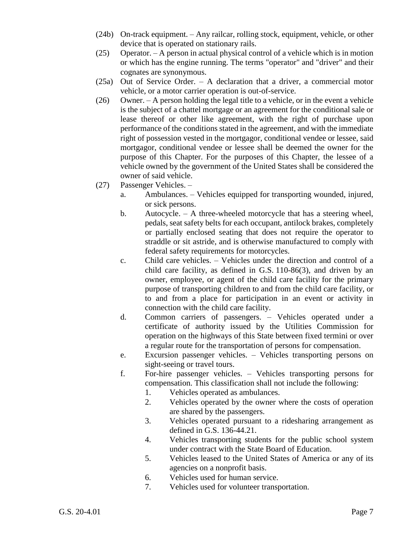- (24b) On-track equipment. Any railcar, rolling stock, equipment, vehicle, or other device that is operated on stationary rails.
- (25) Operator. A person in actual physical control of a vehicle which is in motion or which has the engine running. The terms "operator" and "driver" and their cognates are synonymous.
- (25a) Out of Service Order. A declaration that a driver, a commercial motor vehicle, or a motor carrier operation is out-of-service.
- (26) Owner. A person holding the legal title to a vehicle, or in the event a vehicle is the subject of a chattel mortgage or an agreement for the conditional sale or lease thereof or other like agreement, with the right of purchase upon performance of the conditions stated in the agreement, and with the immediate right of possession vested in the mortgagor, conditional vendee or lessee, said mortgagor, conditional vendee or lessee shall be deemed the owner for the purpose of this Chapter. For the purposes of this Chapter, the lessee of a vehicle owned by the government of the United States shall be considered the owner of said vehicle.
- (27) Passenger Vehicles.
	- a. Ambulances. Vehicles equipped for transporting wounded, injured, or sick persons.
	- b. Autocycle. A three-wheeled motorcycle that has a steering wheel, pedals, seat safety belts for each occupant, antilock brakes, completely or partially enclosed seating that does not require the operator to straddle or sit astride, and is otherwise manufactured to comply with federal safety requirements for motorcycles.
	- c. Child care vehicles. Vehicles under the direction and control of a child care facility, as defined in G.S. 110-86(3), and driven by an owner, employee, or agent of the child care facility for the primary purpose of transporting children to and from the child care facility, or to and from a place for participation in an event or activity in connection with the child care facility.
	- d. Common carriers of passengers. Vehicles operated under a certificate of authority issued by the Utilities Commission for operation on the highways of this State between fixed termini or over a regular route for the transportation of persons for compensation.
	- e. Excursion passenger vehicles. Vehicles transporting persons on sight-seeing or travel tours.
	- f. For-hire passenger vehicles. Vehicles transporting persons for compensation. This classification shall not include the following:
		- 1. Vehicles operated as ambulances.
		- 2. Vehicles operated by the owner where the costs of operation are shared by the passengers.
		- 3. Vehicles operated pursuant to a ridesharing arrangement as defined in G.S. 136-44.21.
		- 4. Vehicles transporting students for the public school system under contract with the State Board of Education.
		- 5. Vehicles leased to the United States of America or any of its agencies on a nonprofit basis.
		- 6. Vehicles used for human service.
		- 7. Vehicles used for volunteer transportation.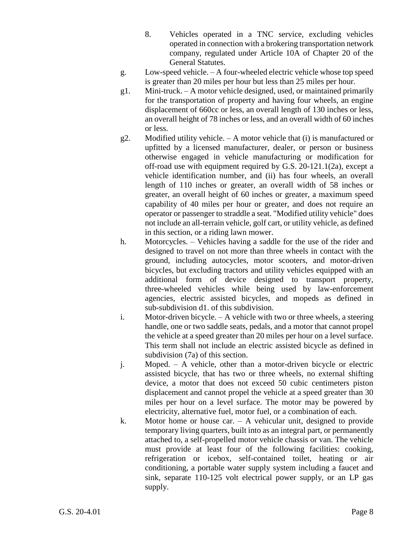- 8. Vehicles operated in a TNC service, excluding vehicles operated in connection with a brokering transportation network company, regulated under Article 10A of Chapter 20 of the General Statutes.
- g. Low-speed vehicle. A four-wheeled electric vehicle whose top speed is greater than 20 miles per hour but less than 25 miles per hour.
- g1. Mini-truck. A motor vehicle designed, used, or maintained primarily for the transportation of property and having four wheels, an engine displacement of 660cc or less, an overall length of 130 inches or less, an overall height of 78 inches or less, and an overall width of 60 inches or less.
- g2. Modified utility vehicle.  $A$  motor vehicle that (i) is manufactured or upfitted by a licensed manufacturer, dealer, or person or business otherwise engaged in vehicle manufacturing or modification for off-road use with equipment required by G.S. 20-121.1(2a), except a vehicle identification number, and (ii) has four wheels, an overall length of 110 inches or greater, an overall width of 58 inches or greater, an overall height of 60 inches or greater, a maximum speed capability of 40 miles per hour or greater, and does not require an operator or passenger to straddle a seat. "Modified utility vehicle" does not include an all-terrain vehicle, golf cart, or utility vehicle, as defined in this section, or a riding lawn mower.
- h. Motorcycles. Vehicles having a saddle for the use of the rider and designed to travel on not more than three wheels in contact with the ground, including autocycles, motor scooters, and motor-driven bicycles, but excluding tractors and utility vehicles equipped with an additional form of device designed to transport property, three-wheeled vehicles while being used by law-enforcement agencies, electric assisted bicycles, and mopeds as defined in sub-subdivision d1. of this subdivision.
- i. Motor-driven bicycle. A vehicle with two or three wheels, a steering handle, one or two saddle seats, pedals, and a motor that cannot propel the vehicle at a speed greater than 20 miles per hour on a level surface. This term shall not include an electric assisted bicycle as defined in subdivision (7a) of this section.
- j. Moped. A vehicle, other than a motor-driven bicycle or electric assisted bicycle, that has two or three wheels, no external shifting device, a motor that does not exceed 50 cubic centimeters piston displacement and cannot propel the vehicle at a speed greater than 30 miles per hour on a level surface. The motor may be powered by electricity, alternative fuel, motor fuel, or a combination of each.
- k. Motor home or house car.  $A$  vehicular unit, designed to provide temporary living quarters, built into as an integral part, or permanently attached to, a self-propelled motor vehicle chassis or van. The vehicle must provide at least four of the following facilities: cooking, refrigeration or icebox, self-contained toilet, heating or air conditioning, a portable water supply system including a faucet and sink, separate 110-125 volt electrical power supply, or an LP gas supply.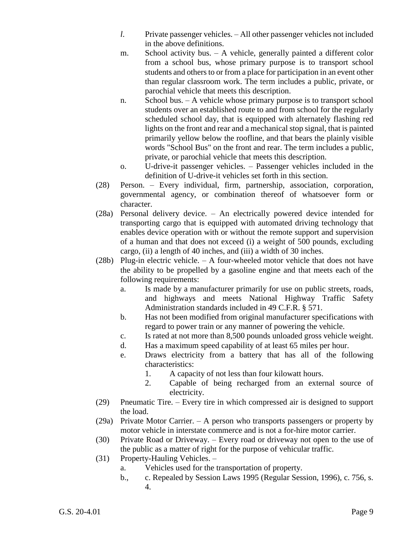- *l*. Private passenger vehicles. All other passenger vehicles not included in the above definitions.
- m. School activity bus. A vehicle, generally painted a different color from a school bus, whose primary purpose is to transport school students and others to or from a place for participation in an event other than regular classroom work. The term includes a public, private, or parochial vehicle that meets this description.
- n. School bus. A vehicle whose primary purpose is to transport school students over an established route to and from school for the regularly scheduled school day, that is equipped with alternately flashing red lights on the front and rear and a mechanical stop signal, that is painted primarily yellow below the roofline, and that bears the plainly visible words "School Bus" on the front and rear. The term includes a public, private, or parochial vehicle that meets this description.
- o. U-drive-it passenger vehicles. Passenger vehicles included in the definition of U-drive-it vehicles set forth in this section.
- (28) Person. Every individual, firm, partnership, association, corporation, governmental agency, or combination thereof of whatsoever form or character.
- (28a) Personal delivery device. An electrically powered device intended for transporting cargo that is equipped with automated driving technology that enables device operation with or without the remote support and supervision of a human and that does not exceed (i) a weight of 500 pounds, excluding cargo, (ii) a length of 40 inches, and (iii) a width of 30 inches.
- (28b) Plug-in electric vehicle. A four-wheeled motor vehicle that does not have the ability to be propelled by a gasoline engine and that meets each of the following requirements:
	- a. Is made by a manufacturer primarily for use on public streets, roads, and highways and meets National Highway Traffic Safety Administration standards included in 49 C.F.R. § 571.
	- b. Has not been modified from original manufacturer specifications with regard to power train or any manner of powering the vehicle.
	- c. Is rated at not more than 8,500 pounds unloaded gross vehicle weight.
	- d. Has a maximum speed capability of at least 65 miles per hour.
	- e. Draws electricity from a battery that has all of the following characteristics:
		- 1. A capacity of not less than four kilowatt hours.
		- 2. Capable of being recharged from an external source of electricity.
- (29) Pneumatic Tire. Every tire in which compressed air is designed to support the load.
- (29a) Private Motor Carrier. A person who transports passengers or property by motor vehicle in interstate commerce and is not a for-hire motor carrier.
- (30) Private Road or Driveway. Every road or driveway not open to the use of the public as a matter of right for the purpose of vehicular traffic.
- (31) Property-Hauling Vehicles.
	- a. Vehicles used for the transportation of property.
	- b., c. Repealed by Session Laws 1995 (Regular Session, 1996), c. 756, s. 4.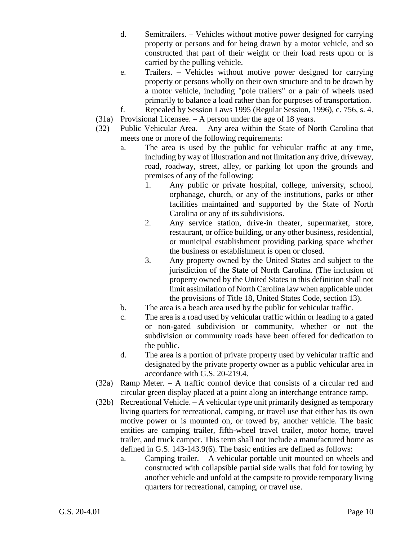- d. Semitrailers. Vehicles without motive power designed for carrying property or persons and for being drawn by a motor vehicle, and so constructed that part of their weight or their load rests upon or is carried by the pulling vehicle.
- e. Trailers. Vehicles without motive power designed for carrying property or persons wholly on their own structure and to be drawn by a motor vehicle, including "pole trailers" or a pair of wheels used primarily to balance a load rather than for purposes of transportation.
- f. Repealed by Session Laws 1995 (Regular Session, 1996), c. 756, s. 4.
- (31a) Provisional Licensee. A person under the age of 18 years.
- (32) Public Vehicular Area. Any area within the State of North Carolina that meets one or more of the following requirements:
	- a. The area is used by the public for vehicular traffic at any time, including by way of illustration and not limitation any drive, driveway, road, roadway, street, alley, or parking lot upon the grounds and premises of any of the following:
		- 1. Any public or private hospital, college, university, school, orphanage, church, or any of the institutions, parks or other facilities maintained and supported by the State of North Carolina or any of its subdivisions.
		- 2. Any service station, drive-in theater, supermarket, store, restaurant, or office building, or any other business, residential, or municipal establishment providing parking space whether the business or establishment is open or closed.
		- 3. Any property owned by the United States and subject to the jurisdiction of the State of North Carolina. (The inclusion of property owned by the United States in this definition shall not limit assimilation of North Carolina law when applicable under the provisions of Title 18, United States Code, section 13).
	- b. The area is a beach area used by the public for vehicular traffic.
	- c. The area is a road used by vehicular traffic within or leading to a gated or non-gated subdivision or community, whether or not the subdivision or community roads have been offered for dedication to the public.
	- d. The area is a portion of private property used by vehicular traffic and designated by the private property owner as a public vehicular area in accordance with G.S. 20-219.4.
- (32a) Ramp Meter. A traffic control device that consists of a circular red and circular green display placed at a point along an interchange entrance ramp.
- (32b) Recreational Vehicle. A vehicular type unit primarily designed as temporary living quarters for recreational, camping, or travel use that either has its own motive power or is mounted on, or towed by, another vehicle. The basic entities are camping trailer, fifth-wheel travel trailer, motor home, travel trailer, and truck camper. This term shall not include a manufactured home as defined in G.S. 143-143.9(6). The basic entities are defined as follows:
	- a. Camping trailer. A vehicular portable unit mounted on wheels and constructed with collapsible partial side walls that fold for towing by another vehicle and unfold at the campsite to provide temporary living quarters for recreational, camping, or travel use.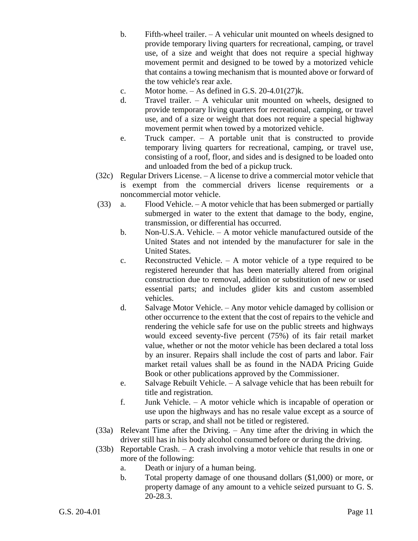- b. Fifth-wheel trailer. A vehicular unit mounted on wheels designed to provide temporary living quarters for recreational, camping, or travel use, of a size and weight that does not require a special highway movement permit and designed to be towed by a motorized vehicle that contains a towing mechanism that is mounted above or forward of the tow vehicle's rear axle.
- c. Motor home.  $-$  As defined in G.S. 20-4.01(27)k.
- d. Travel trailer. A vehicular unit mounted on wheels, designed to provide temporary living quarters for recreational, camping, or travel use, and of a size or weight that does not require a special highway movement permit when towed by a motorized vehicle.
- e. Truck camper. A portable unit that is constructed to provide temporary living quarters for recreational, camping, or travel use, consisting of a roof, floor, and sides and is designed to be loaded onto and unloaded from the bed of a pickup truck.
- (32c) Regular Drivers License. A license to drive a commercial motor vehicle that is exempt from the commercial drivers license requirements or a noncommercial motor vehicle.
- (33) a. Flood Vehicle. A motor vehicle that has been submerged or partially submerged in water to the extent that damage to the body, engine, transmission, or differential has occurred.
	- b. Non-U.S.A. Vehicle. A motor vehicle manufactured outside of the United States and not intended by the manufacturer for sale in the United States.
	- c. Reconstructed Vehicle. A motor vehicle of a type required to be registered hereunder that has been materially altered from original construction due to removal, addition or substitution of new or used essential parts; and includes glider kits and custom assembled vehicles.
	- d. Salvage Motor Vehicle. Any motor vehicle damaged by collision or other occurrence to the extent that the cost of repairs to the vehicle and rendering the vehicle safe for use on the public streets and highways would exceed seventy-five percent (75%) of its fair retail market value, whether or not the motor vehicle has been declared a total loss by an insurer. Repairs shall include the cost of parts and labor. Fair market retail values shall be as found in the NADA Pricing Guide Book or other publications approved by the Commissioner.
	- e. Salvage Rebuilt Vehicle. A salvage vehicle that has been rebuilt for title and registration.
	- f. Junk Vehicle. A motor vehicle which is incapable of operation or use upon the highways and has no resale value except as a source of parts or scrap, and shall not be titled or registered.
- (33a) Relevant Time after the Driving. Any time after the driving in which the driver still has in his body alcohol consumed before or during the driving.
- (33b) Reportable Crash. A crash involving a motor vehicle that results in one or more of the following:
	- a. Death or injury of a human being.
	- b. Total property damage of one thousand dollars (\$1,000) or more, or property damage of any amount to a vehicle seized pursuant to G. S. 20-28.3.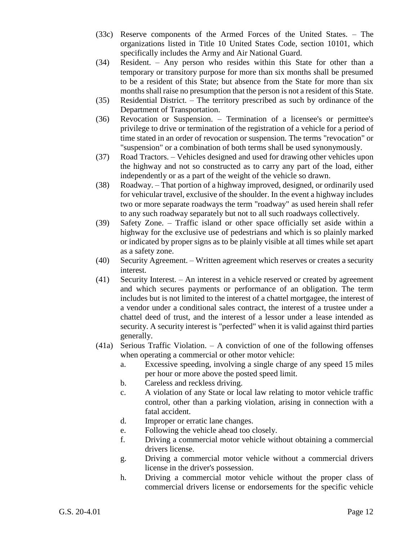- (33c) Reserve components of the Armed Forces of the United States. The organizations listed in Title 10 United States Code, section 10101, which specifically includes the Army and Air National Guard.
- (34) Resident. Any person who resides within this State for other than a temporary or transitory purpose for more than six months shall be presumed to be a resident of this State; but absence from the State for more than six months shall raise no presumption that the person is not a resident of this State.
- (35) Residential District. The territory prescribed as such by ordinance of the Department of Transportation.
- (36) Revocation or Suspension. Termination of a licensee's or permittee's privilege to drive or termination of the registration of a vehicle for a period of time stated in an order of revocation or suspension. The terms "revocation" or "suspension" or a combination of both terms shall be used synonymously.
- (37) Road Tractors. Vehicles designed and used for drawing other vehicles upon the highway and not so constructed as to carry any part of the load, either independently or as a part of the weight of the vehicle so drawn.
- (38) Roadway. That portion of a highway improved, designed, or ordinarily used for vehicular travel, exclusive of the shoulder. In the event a highway includes two or more separate roadways the term "roadway" as used herein shall refer to any such roadway separately but not to all such roadways collectively.
- (39) Safety Zone. Traffic island or other space officially set aside within a highway for the exclusive use of pedestrians and which is so plainly marked or indicated by proper signs as to be plainly visible at all times while set apart as a safety zone.
- (40) Security Agreement. Written agreement which reserves or creates a security interest.
- (41) Security Interest. An interest in a vehicle reserved or created by agreement and which secures payments or performance of an obligation. The term includes but is not limited to the interest of a chattel mortgagee, the interest of a vendor under a conditional sales contract, the interest of a trustee under a chattel deed of trust, and the interest of a lessor under a lease intended as security. A security interest is "perfected" when it is valid against third parties generally.
- (41a) Serious Traffic Violation. A conviction of one of the following offenses when operating a commercial or other motor vehicle:
	- a. Excessive speeding, involving a single charge of any speed 15 miles per hour or more above the posted speed limit.
	- b. Careless and reckless driving.
	- c. A violation of any State or local law relating to motor vehicle traffic control, other than a parking violation, arising in connection with a fatal accident.
	- d. Improper or erratic lane changes.
	- e. Following the vehicle ahead too closely.
	- f. Driving a commercial motor vehicle without obtaining a commercial drivers license.
	- g. Driving a commercial motor vehicle without a commercial drivers license in the driver's possession.
	- h. Driving a commercial motor vehicle without the proper class of commercial drivers license or endorsements for the specific vehicle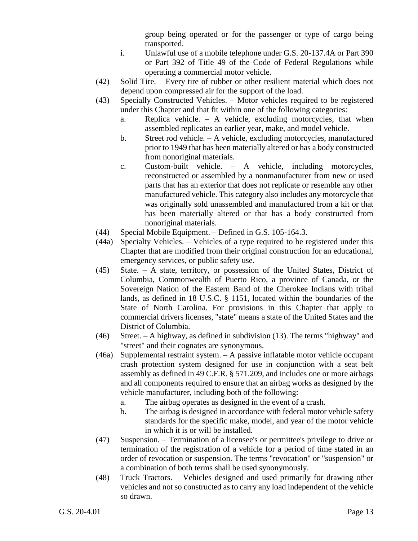group being operated or for the passenger or type of cargo being transported.

- i. Unlawful use of a mobile telephone under G.S. 20-137.4A or Part 390 or Part 392 of Title 49 of the Code of Federal Regulations while operating a commercial motor vehicle.
- (42) Solid Tire. Every tire of rubber or other resilient material which does not depend upon compressed air for the support of the load.
- (43) Specially Constructed Vehicles. Motor vehicles required to be registered under this Chapter and that fit within one of the following categories:
	- a. Replica vehicle. A vehicle, excluding motorcycles, that when assembled replicates an earlier year, make, and model vehicle.
	- b. Street rod vehicle. A vehicle, excluding motorcycles, manufactured prior to 1949 that has been materially altered or has a body constructed from nonoriginal materials.
	- c. Custom-built vehicle. A vehicle, including motorcycles, reconstructed or assembled by a nonmanufacturer from new or used parts that has an exterior that does not replicate or resemble any other manufactured vehicle. This category also includes any motorcycle that was originally sold unassembled and manufactured from a kit or that has been materially altered or that has a body constructed from nonoriginal materials.
- (44) Special Mobile Equipment. Defined in G.S. 105-164.3.
- (44a) Specialty Vehicles. Vehicles of a type required to be registered under this Chapter that are modified from their original construction for an educational, emergency services, or public safety use.
- (45) State. A state, territory, or possession of the United States, District of Columbia, Commonwealth of Puerto Rico, a province of Canada, or the Sovereign Nation of the Eastern Band of the Cherokee Indians with tribal lands, as defined in 18 U.S.C. § 1151, located within the boundaries of the State of North Carolina. For provisions in this Chapter that apply to commercial drivers licenses, "state" means a state of the United States and the District of Columbia.
- (46) Street. A highway, as defined in subdivision (13). The terms "highway" and "street" and their cognates are synonymous.
- (46a) Supplemental restraint system. A passive inflatable motor vehicle occupant crash protection system designed for use in conjunction with a seat belt assembly as defined in 49 C.F.R. § 571.209, and includes one or more airbags and all components required to ensure that an airbag works as designed by the vehicle manufacturer, including both of the following:
	- a. The airbag operates as designed in the event of a crash.
	- b. The airbag is designed in accordance with federal motor vehicle safety standards for the specific make, model, and year of the motor vehicle in which it is or will be installed.
- (47) Suspension. Termination of a licensee's or permittee's privilege to drive or termination of the registration of a vehicle for a period of time stated in an order of revocation or suspension. The terms "revocation" or "suspension" or a combination of both terms shall be used synonymously.
- (48) Truck Tractors. Vehicles designed and used primarily for drawing other vehicles and not so constructed as to carry any load independent of the vehicle so drawn.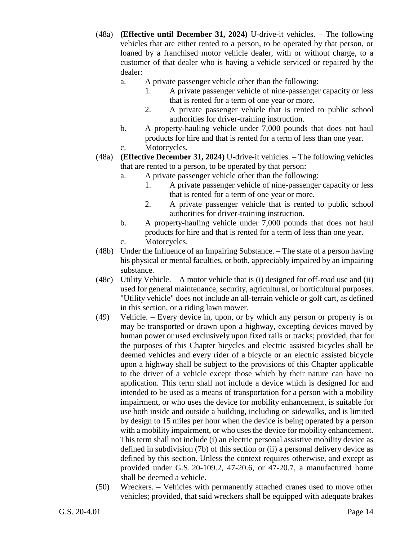- (48a) **(Effective until December 31, 2024)** U-drive-it vehicles. The following vehicles that are either rented to a person, to be operated by that person, or loaned by a franchised motor vehicle dealer, with or without charge, to a customer of that dealer who is having a vehicle serviced or repaired by the dealer:
	- a. A private passenger vehicle other than the following:
		- 1. A private passenger vehicle of nine-passenger capacity or less that is rented for a term of one year or more.
		- 2. A private passenger vehicle that is rented to public school authorities for driver-training instruction.
	- b. A property-hauling vehicle under 7,000 pounds that does not haul products for hire and that is rented for a term of less than one year.
	- c. Motorcycles.
- (48a) **(Effective December 31, 2024)** U-drive-it vehicles. The following vehicles that are rented to a person, to be operated by that person:
	- a. A private passenger vehicle other than the following:
		- 1. A private passenger vehicle of nine-passenger capacity or less that is rented for a term of one year or more.
		- 2. A private passenger vehicle that is rented to public school authorities for driver-training instruction.
	- b. A property-hauling vehicle under 7,000 pounds that does not haul products for hire and that is rented for a term of less than one year.
	- c. Motorcycles.
- (48b) Under the Influence of an Impairing Substance. The state of a person having his physical or mental faculties, or both, appreciably impaired by an impairing substance.
- (48c) Utility Vehicle. A motor vehicle that is (i) designed for off-road use and (ii) used for general maintenance, security, agricultural, or horticultural purposes. "Utility vehicle" does not include an all-terrain vehicle or golf cart, as defined in this section, or a riding lawn mower.
- (49) Vehicle. Every device in, upon, or by which any person or property is or may be transported or drawn upon a highway, excepting devices moved by human power or used exclusively upon fixed rails or tracks; provided, that for the purposes of this Chapter bicycles and electric assisted bicycles shall be deemed vehicles and every rider of a bicycle or an electric assisted bicycle upon a highway shall be subject to the provisions of this Chapter applicable to the driver of a vehicle except those which by their nature can have no application. This term shall not include a device which is designed for and intended to be used as a means of transportation for a person with a mobility impairment, or who uses the device for mobility enhancement, is suitable for use both inside and outside a building, including on sidewalks, and is limited by design to 15 miles per hour when the device is being operated by a person with a mobility impairment, or who uses the device for mobility enhancement. This term shall not include (i) an electric personal assistive mobility device as defined in subdivision (7b) of this section or (ii) a personal delivery device as defined by this section. Unless the context requires otherwise, and except as provided under G.S. 20-109.2, 47-20.6, or 47-20.7, a manufactured home shall be deemed a vehicle.
- (50) Wreckers. Vehicles with permanently attached cranes used to move other vehicles; provided, that said wreckers shall be equipped with adequate brakes